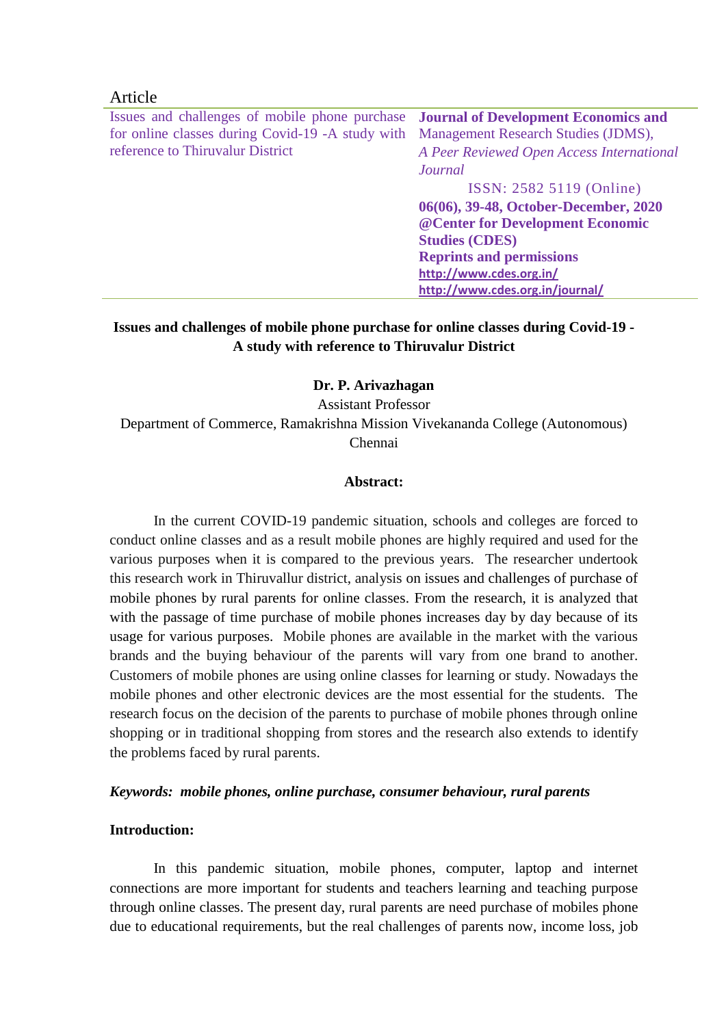### Article

Issues and challenges of mobile phone purchase for online classes during Covid-19 -A study with reference to Thiruvalur District **Journal of Development Economics and**  Management Research Studies (JDMS), *A Peer Reviewed Open Access International Journal* ISSN: 2582 5119 (Online) **06(06), 39-48, October-December, 2020 @Center for Development Economic Studies (CDES) Reprints and permissions <http://www.cdes.org.in/> <http://www.cdes.org.in/journal/>**

# **Issues and challenges of mobile phone purchase for online classes during Covid-19 - A study with reference to Thiruvalur District**

#### **Dr. P. Arivazhagan**

Assistant Professor Department of Commerce, Ramakrishna Mission Vivekananda College (Autonomous) Chennai

#### **Abstract:**

In the current COVID-19 pandemic situation, schools and colleges are forced to conduct online classes and as a result mobile phones are highly required and used for the various purposes when it is compared to the previous years. The researcher undertook this research work in Thiruvallur district, analysis on issues and challenges of purchase of mobile phones by rural parents for online classes. From the research, it is analyzed that with the passage of time purchase of mobile phones increases day by day because of its usage for various purposes. Mobile phones are available in the market with the various brands and the buying behaviour of the parents will vary from one brand to another. Customers of mobile phones are using online classes for learning or study. Nowadays the mobile phones and other electronic devices are the most essential for the students. The research focus on the decision of the parents to purchase of mobile phones through online shopping or in traditional shopping from stores and the research also extends to identify the problems faced by rural parents.

#### *Keywords: mobile phones, online purchase, consumer behaviour, rural parents*

#### **Introduction:**

In this pandemic situation, mobile phones, computer, laptop and internet connections are more important for students and teachers learning and teaching purpose through online classes. The present day, rural parents are need purchase of mobiles phone due to educational requirements, but the real challenges of parents now, income loss, job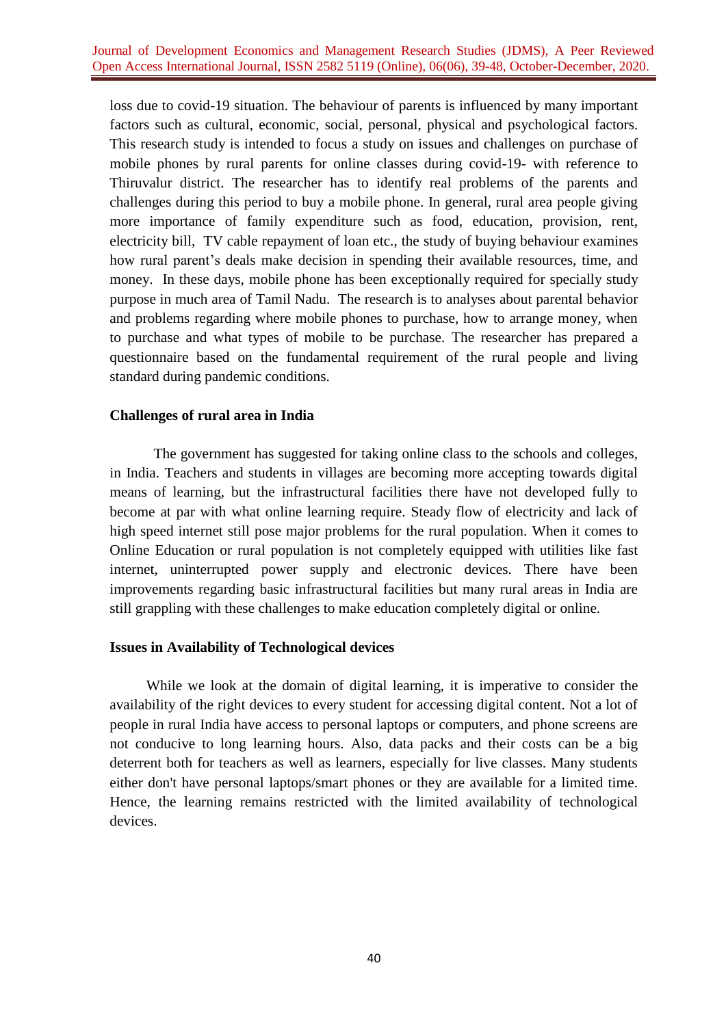loss due to covid-19 situation. The behaviour of parents is influenced by many important factors such as cultural, economic, social, personal, physical and psychological factors. This research study is intended to focus a study on issues and challenges on purchase of mobile phones by rural parents for online classes during covid-19- with reference to Thiruvalur district. The researcher has to identify real problems of the parents and challenges during this period to buy a mobile phone. In general, rural area people giving more importance of family expenditure such as food, education, provision, rent, electricity bill, TV cable repayment of loan etc., the study of buying behaviour examines how rural parent's deals make decision in spending their available resources, time, and money. In these days, mobile phone has been exceptionally required for specially study purpose in much area of Tamil Nadu. The research is to analyses about parental behavior and problems regarding where mobile phones to purchase, how to arrange money, when to purchase and what types of mobile to be purchase. The researcher has prepared a questionnaire based on the fundamental requirement of the rural people and living standard during pandemic conditions.

### **Challenges of rural area in India**

The government has suggested for taking online class to the schools and colleges, in India. Teachers and students in villages are becoming more accepting towards digital means of learning, but the infrastructural facilities there have not developed fully to become at par with what online learning require. Steady flow of electricity and lack of high speed internet still pose major problems for the rural population. When it comes to Online Education or rural population is not completely equipped with utilities like fast internet, uninterrupted power supply and electronic devices. There have been improvements regarding basic infrastructural facilities but many rural areas in India are still grappling with these challenges to make education completely digital or online.

#### **Issues in Availability of Technological devices**

While we look at the domain of digital learning, it is imperative to consider the availability of the right devices to every student for accessing digital content. Not a lot of people in rural India have access to personal laptops or computers, and phone screens are not conducive to long learning hours. Also, data packs and their costs can be a big deterrent both for teachers as well as learners, especially for live classes. Many students either don't have personal laptops/smart phones or they are available for a limited time. Hence, the learning remains restricted with the limited availability of technological devices.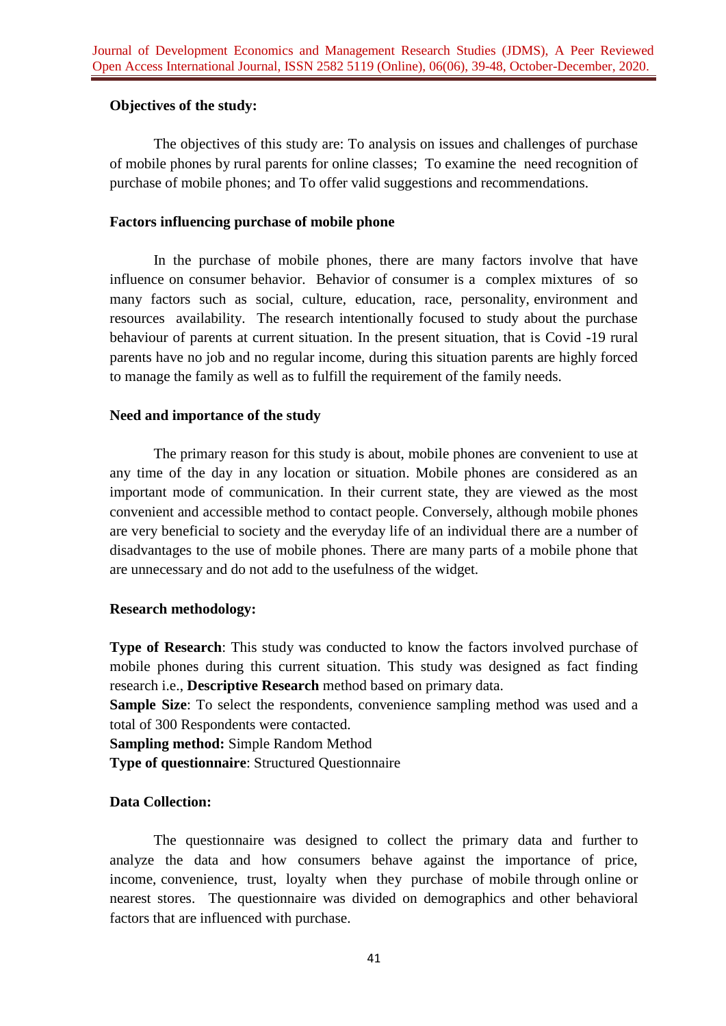# **Objectives of the study:**

The objectives of this study are: To analysis on issues and challenges of purchase of mobile phones by rural parents for online classes; To examine the need recognition of purchase of mobile phones; and To offer valid suggestions and recommendations.

### **Factors influencing purchase of mobile phone**

In the purchase of mobile phones, there are many factors involve that have influence on consumer behavior. Behavior of consumer is a complex mixtures of so many factors such as social, culture, education, race, personality, environment and resources availability. The research intentionally focused to study about the purchase behaviour of parents at current situation. In the present situation, that is Covid -19 rural parents have no job and no regular income, during this situation parents are highly forced to manage the family as well as to fulfill the requirement of the family needs.

# **Need and importance of the study**

The primary reason for this study is about, mobile phones are convenient to use at any time of the day in any location or situation. Mobile phones are considered as an important mode of communication. In their current state, they are viewed as the most convenient and accessible method to contact people. Conversely, although mobile phones are very beneficial to society and the everyday life of an individual there are a number of disadvantages to the use of mobile phones. There are many parts of a mobile phone that are unnecessary and do not add to the usefulness of the widget.

# **Research methodology:**

**Type of Research**: This study was conducted to know the factors involved purchase of mobile phones during this current situation. This study was designed as fact finding research i.e., **Descriptive Research** method based on primary data.

**Sample Size**: To select the respondents, convenience sampling method was used and a total of 300 Respondents were contacted.

**Sampling method:** Simple Random Method

**Type of questionnaire**: Structured Questionnaire

# **Data Collection:**

The questionnaire was designed to collect the primary data and further to analyze the data and how consumers behave against the importance of price, income, convenience, trust, loyalty when they purchase of mobile through online or nearest stores. The questionnaire was divided on demographics and other behavioral factors that are influenced with purchase.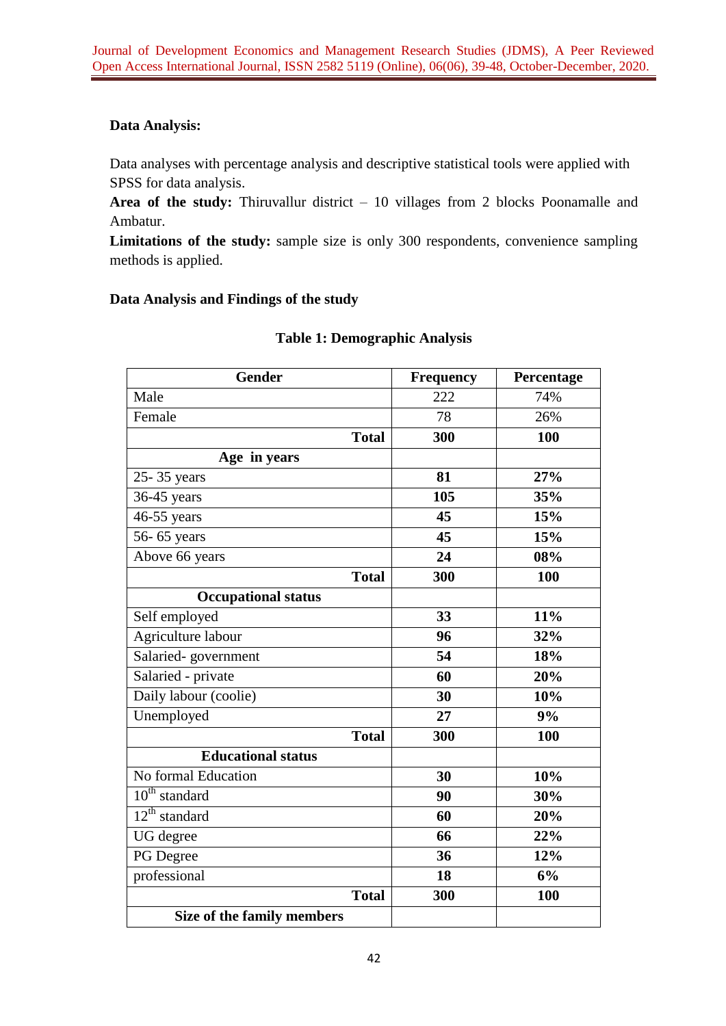# **Data Analysis:**

Data analyses with percentage analysis and descriptive statistical tools were applied with SPSS for data analysis.

**Area of the study:** Thiruvallur district – 10 villages from 2 blocks Poonamalle and Ambatur.

**Limitations of the study:** sample size is only 300 respondents, convenience sampling methods is applied.

# **Data Analysis and Findings of the study**

| Gender                     | <b>Frequency</b> | Percentage |
|----------------------------|------------------|------------|
| Male                       | 222              | 74%        |
| Female                     | 78               | 26%        |
| <b>Total</b>               | 300              | 100        |
| Age in years               |                  |            |
| 25-35 years                | 81               | 27%        |
| 36-45 years                | 105              | 35%        |
| $46-55$ years              | 45               | 15%        |
| 56-65 years                | 45               | 15%        |
| Above 66 years             | 24               | 08%        |
| <b>Total</b>               | 300              | 100        |
| <b>Occupational status</b> |                  |            |
| Self employed              | 33               | 11%        |
| Agriculture labour         | 96               | 32%        |
| Salaried-government        | 54               | 18%        |
| Salaried - private         | 60               | 20%        |
| Daily labour (coolie)      | 30               | 10%        |
| Unemployed                 | 27               | 9%         |
| <b>Total</b>               | 300              | 100        |
| <b>Educational status</b>  |                  |            |
| No formal Education        | 30               | 10%        |
| $10th$ standard            | 90               | 30%        |
| $12th$ standard            | 60               | 20%        |
| UG degree                  | 66               | 22%        |
| PG Degree                  | 36               | 12%        |
| professional               | 18               | 6%         |
| <b>Total</b>               | 300              | 100        |
| Size of the family members |                  |            |

# **Table 1: Demographic Analysis**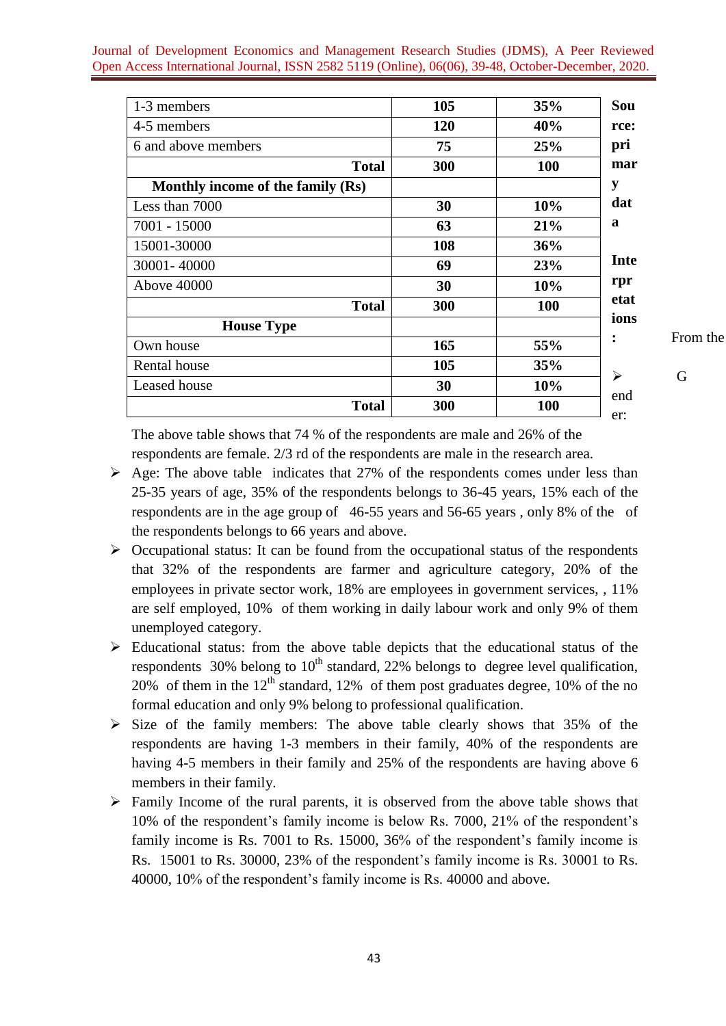| 1-3 members                       | 105        | 35%        |
|-----------------------------------|------------|------------|
| 4-5 members                       | <b>120</b> | 40%        |
| 6 and above members               | 75         | 25%        |
| <b>Total</b>                      | 300        | 100        |
| Monthly income of the family (Rs) |            |            |
| Less than 7000                    | 30         | 10%        |
| 7001 - 15000                      | 63         | 21%        |
| 15001-30000                       | 108        | 36%        |
| 30001-40000                       | 69         | 23%        |
| Above 40000                       | 30         | 10%        |
| <b>Total</b>                      | 300        | <b>100</b> |
| <b>House Type</b>                 |            |            |
| Own house                         | 165        | 55%        |
| Rental house                      | 105        | 35%        |
| Leased house                      | 30         | 10%        |
| <b>Total</b>                      | 300        | <b>100</b> |

**From the** 

G

The above table shows that 74 % of the respondents are male and 26% of the respondents are female. 2/3 rd of the respondents are male in the research area.

- $\triangleright$  Age: The above table indicates that 27% of the respondents comes under less than 25-35 years of age, 35% of the respondents belongs to 36-45 years, 15% each of the respondents are in the age group of 46-55 years and 56-65 years , only 8% of the of the respondents belongs to 66 years and above.
- $\triangleright$  Occupational status: It can be found from the occupational status of the respondents that 32% of the respondents are farmer and agriculture category, 20% of the employees in private sector work, 18% are employees in government services, , 11% are self employed, 10% of them working in daily labour work and only 9% of them unemployed category.
- $\triangleright$  Educational status: from the above table depicts that the educational status of the respondents 30% belong to  $10<sup>th</sup>$  standard, 22% belongs to degree level qualification, 20% of them in the  $12<sup>th</sup>$  standard, 12% of them post graduates degree, 10% of the no formal education and only 9% belong to professional qualification.
- $\triangleright$  Size of the family members: The above table clearly shows that 35% of the respondents are having 1-3 members in their family, 40% of the respondents are having 4-5 members in their family and 25% of the respondents are having above 6 members in their family.
- $\triangleright$  Family Income of the rural parents, it is observed from the above table shows that 10% of the respondent's family income is below Rs. 7000, 21% of the respondent's family income is Rs. 7001 to Rs. 15000, 36% of the respondent's family income is Rs. 15001 to Rs. 30000, 23% of the respondent's family income is Rs. 30001 to Rs. 40000, 10% of the respondent's family income is Rs. 40000 and above.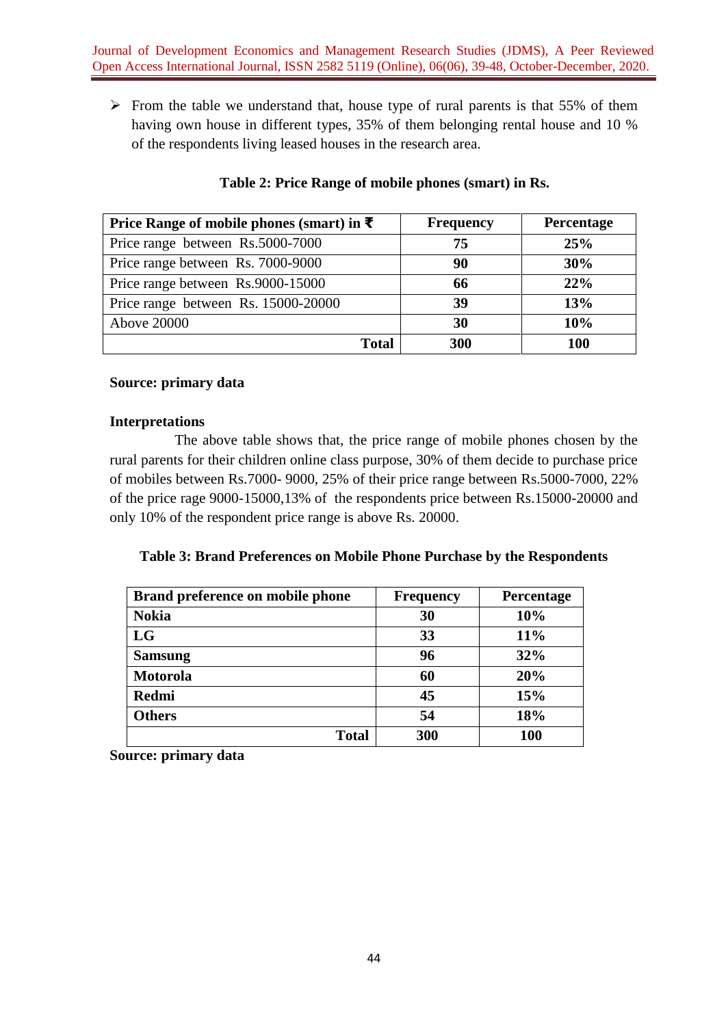$\triangleright$  From the table we understand that, house type of rural parents is that 55% of them having own house in different types, 35% of them belonging rental house and 10 % of the respondents living leased houses in the research area.

| Price Range of mobile phones (smart) in ₹ | <b>Frequency</b> | <b>Percentage</b> |
|-------------------------------------------|------------------|-------------------|
| Price range between Rs.5000-7000          | 75               | 25%               |
| Price range between Rs. 7000-9000         | 90               | 30%               |
| Price range between Rs.9000-15000         | 66               | 22%               |
| Price range between Rs. 15000-20000       | 39               | 13%               |
| <b>Above 20000</b>                        | 30               | 10%               |
|                                           | 300<br>Total     | 100               |

# **Table 2: Price Range of mobile phones (smart) in Rs.**

# **Source: primary data**

### **Interpretations**

The above table shows that, the price range of mobile phones chosen by the rural parents for their children online class purpose, 30% of them decide to purchase price of mobiles between Rs.7000- 9000, 25% of their price range between Rs.5000-7000, 22% of the price rage 9000-15000,13% of the respondents price between Rs.15000-20000 and only 10% of the respondent price range is above Rs. 20000.

### **Table 3: Brand Preferences on Mobile Phone Purchase by the Respondents**

| Brand preference on mobile phone | <b>Frequency</b> | Percentage |
|----------------------------------|------------------|------------|
| <b>Nokia</b>                     | 30               | 10%        |
| LG                               | 33               | 11%        |
| <b>Samsung</b>                   | 96               | 32%        |
| <b>Motorola</b>                  | 60               | 20%        |
| <b>Redmi</b>                     | 45               | 15%        |
| <b>Others</b>                    | 54               | 18%        |
| <b>Total</b>                     | 300              | 100        |

**Source: primary data**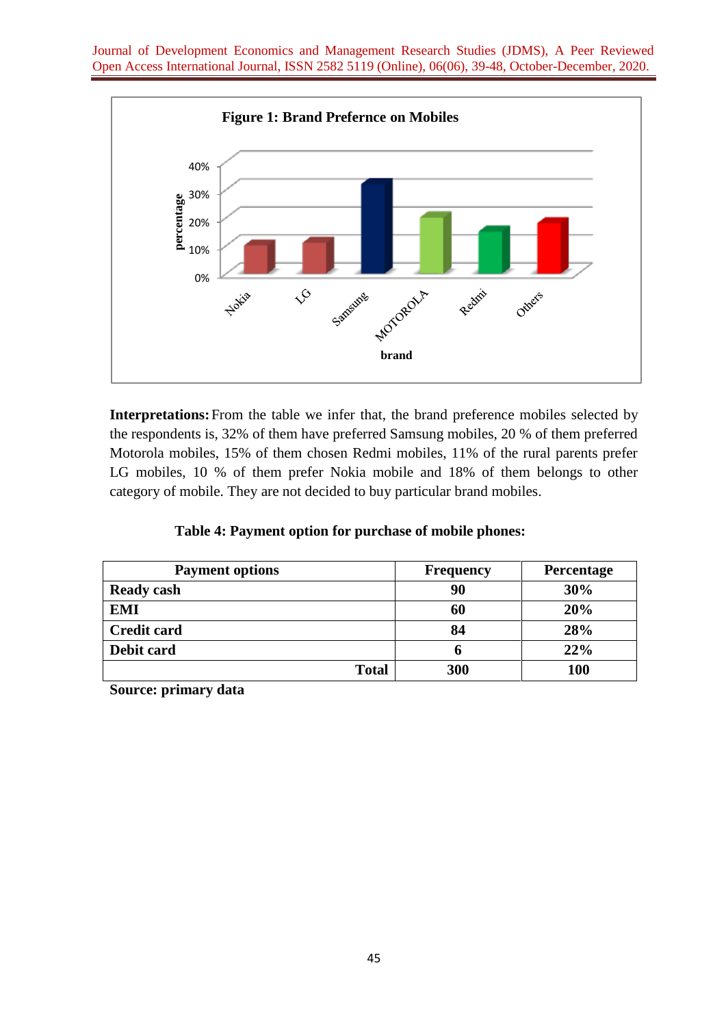

**Interpretations:**From the table we infer that, the brand preference mobiles selected by the respondents is, 32% of them have preferred Samsung mobiles, 20 % of them preferred Motorola mobiles, 15% of them chosen Redmi mobiles, 11% of the rural parents prefer LG mobiles, 10 % of them prefer Nokia mobile and 18% of them belongs to other category of mobile. They are not decided to buy particular brand mobiles.

|  |  |  |  | Table 4: Payment option for purchase of mobile phones: |  |
|--|--|--|--|--------------------------------------------------------|--|
|--|--|--|--|--------------------------------------------------------|--|

| <b>Payment options</b> | <b>Frequency</b> | Percentage |  |
|------------------------|------------------|------------|--|
| <b>Ready cash</b>      | 90               | 30%        |  |
| <b>EMI</b>             | 60               | 20%        |  |
| <b>Credit card</b>     | 84               | 28%        |  |
| Debit card             | o                | 22%        |  |
| <b>Total</b>           | 300              | <b>100</b> |  |

**Source: primary data**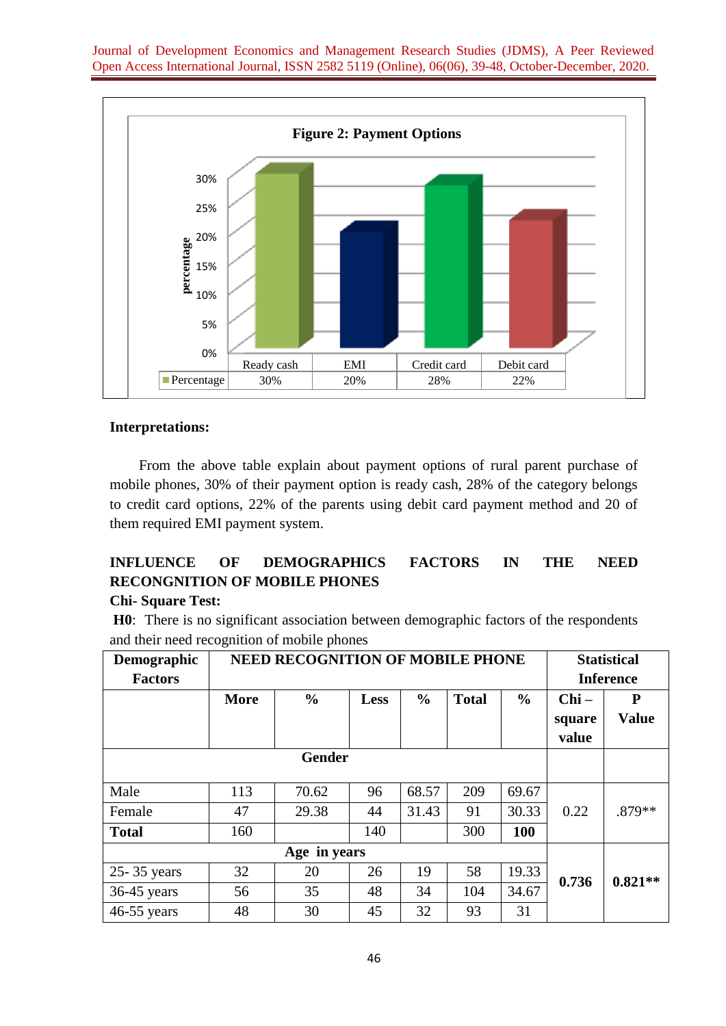

#### **Interpretations:**

From the above table explain about payment options of rural parent purchase of mobile phones, 30% of their payment option is ready cash, 28% of the category belongs to credit card options, 22% of the parents using debit card payment method and 20 of them required EMI payment system.

# **INFLUENCE OF DEMOGRAPHICS FACTORS IN THE NEED RECONGNITION OF MOBILE PHONES**

### **Chi- Square Test:**

**H0**: There is no significant association between demographic factors of the respondents and their need recognition of mobile phones

| Demographic<br><b>Factors</b> | <b>NEED RECOGNITION OF MOBILE PHONE</b> |               |             |               |              |               | <b>Statistical</b><br><b>Inference</b> |                   |
|-------------------------------|-----------------------------------------|---------------|-------------|---------------|--------------|---------------|----------------------------------------|-------------------|
|                               | <b>More</b>                             | $\frac{0}{0}$ | <b>Less</b> | $\frac{0}{0}$ | <b>Total</b> | $\frac{0}{0}$ | $Chi -$<br>square<br>value             | P<br><b>Value</b> |
|                               |                                         | <b>Gender</b> |             |               |              |               |                                        |                   |
| Male                          | 113                                     | 70.62         | 96          | 68.57         | 209          | 69.67         |                                        |                   |
| Female                        | 47                                      | 29.38         | 44          | 31.43         | 91           | 30.33         | 0.22                                   | .879**            |
| <b>Total</b>                  | 160                                     |               | 140         |               | 300          | 100           |                                        |                   |
| Age in years                  |                                         |               |             |               |              |               |                                        |                   |
| 25-35 years                   | 32                                      | 20            | 26          | 19            | 58           | 19.33         | 0.736                                  | $0.821**$         |
| 36-45 years                   | 56                                      | 35            | 48          | 34            | 104          | 34.67         |                                        |                   |
| 46-55 years                   | 48                                      | 30            | 45          | 32            | 93           | 31            |                                        |                   |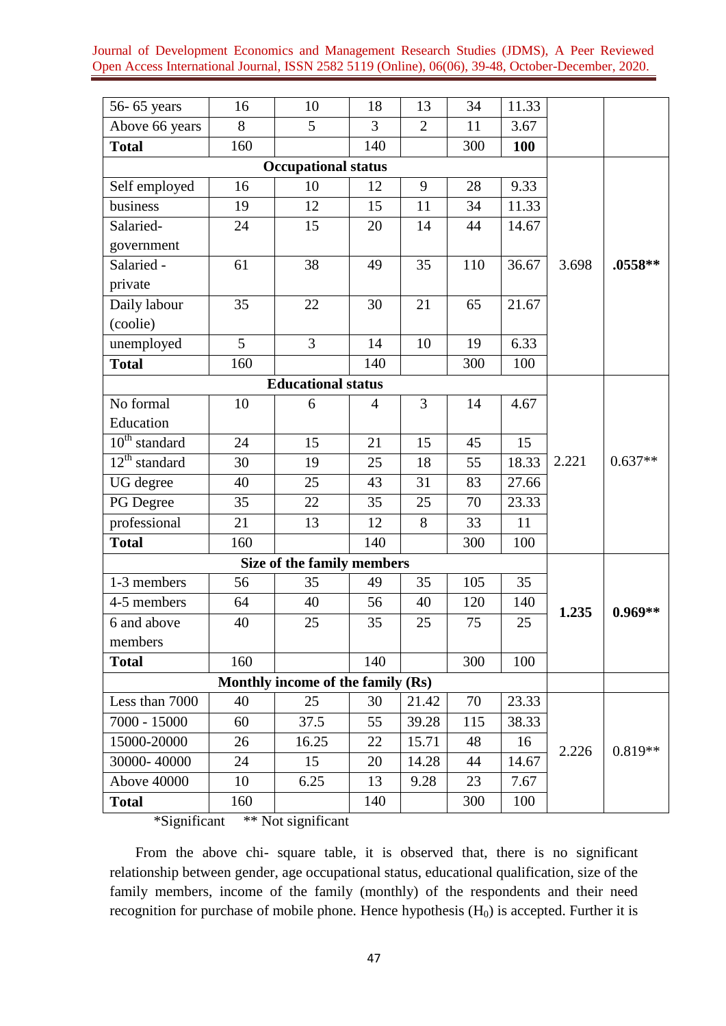| 56-65 years                       | 16  | 10                         | 18  | 13             | 34  | 11.33 |       |           |
|-----------------------------------|-----|----------------------------|-----|----------------|-----|-------|-------|-----------|
| Above 66 years                    | 8   | 5                          | 3   | $\overline{2}$ | 11  | 3.67  |       |           |
| <b>Total</b>                      | 160 |                            | 140 |                | 300 | 100   |       |           |
|                                   |     | <b>Occupational status</b> |     |                |     |       |       |           |
| Self employed                     | 16  | 10                         | 12  | 9              | 28  | 9.33  |       |           |
| business                          | 19  | 12                         | 15  | 11             | 34  | 11.33 |       |           |
| Salaried-                         | 24  | 15                         | 20  | 14             | 44  | 14.67 |       |           |
| government                        |     |                            |     |                |     |       |       |           |
| Salaried -                        | 61  | 38                         | 49  | 35             | 110 | 36.67 | 3.698 | .0558**   |
| private                           |     |                            |     |                |     |       |       |           |
| Daily labour                      | 35  | 22                         | 30  | 21             | 65  | 21.67 |       |           |
| (coolie)                          |     |                            |     |                |     |       |       |           |
| unemployed                        | 5   | 3                          | 14  | 10             | 19  | 6.33  |       |           |
| <b>Total</b>                      | 160 |                            | 140 |                | 300 | 100   |       |           |
|                                   |     | <b>Educational status</b>  |     |                |     |       |       |           |
| No formal                         | 10  | 6                          | 4   | 3              | 14  | 4.67  |       |           |
| Education                         |     |                            |     |                |     |       |       |           |
| $10^{th}$ standard                | 24  | 15                         | 21  | 15             | 45  | 15    |       |           |
| $12th$ standard                   | 30  | 19                         | 25  | 18             | 55  | 18.33 | 2.221 | $0.637**$ |
| UG degree                         | 40  | 25                         | 43  | 31             | 83  | 27.66 |       |           |
| PG Degree                         | 35  | 22                         | 35  | 25             | 70  | 23.33 |       |           |
| professional                      | 21  | 13                         | 12  | 8              | 33  | 11    |       |           |
| <b>Total</b>                      | 160 |                            | 140 |                | 300 | 100   |       |           |
|                                   |     | Size of the family members |     |                |     |       |       |           |
| 1-3 members                       | 56  | 35                         | 49  | 35             | 105 | 35    |       |           |
| 4-5 members                       | 64  | 40                         | 56  | 40             | 120 | 140   | 1.235 | $0.969**$ |
| 6 and above                       | 40  | 25                         | 35  | 25             | 75  | 25    |       |           |
| members                           |     |                            |     |                |     |       |       |           |
| <b>Total</b>                      | 160 |                            | 140 |                | 300 | 100   |       |           |
| Monthly income of the family (Rs) |     |                            |     |                |     |       |       |           |
| Less than 7000                    | 40  | 25                         | 30  | 21.42          | 70  | 23.33 |       |           |
| 7000 - 15000                      | 60  | 37.5                       | 55  | 39.28          | 115 | 38.33 |       |           |
| 15000-20000                       | 26  | 16.25                      | 22  | 15.71          | 48  | 16    |       | $0.819**$ |
| 30000-40000                       | 24  | 15                         | 20  | 14.28          | 44  | 14.67 | 2.226 |           |
| Above 40000                       | 10  | 6.25                       | 13  | 9.28           | 23  | 7.67  |       |           |
| <b>Total</b>                      | 160 |                            | 140 |                | 300 | 100   |       |           |

\*Significant \*\* Not significant

From the above chi- square table, it is observed that, there is no significant relationship between gender, age occupational status, educational qualification, size of the family members, income of the family (monthly) of the respondents and their need recognition for purchase of mobile phone. Hence hypothesis  $(H_0)$  is accepted. Further it is